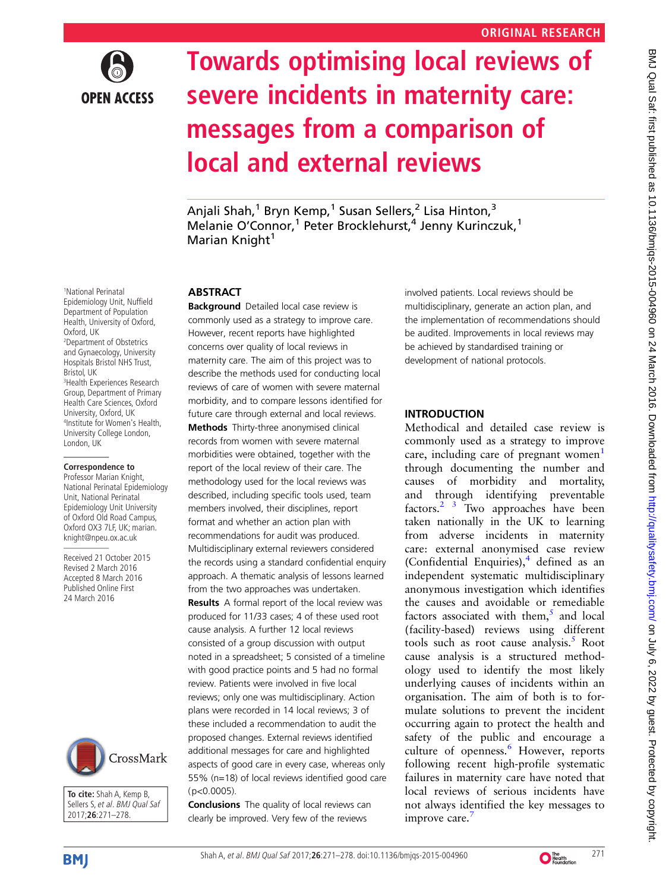

# Towards optimising local reviews of severe incidents in maternity care: messages from a comparison of local and external reviews

Anjali Shah, 1 Bryn Kemp, 1 Susan Sellers, Lisa Hinton,<br>Melanje O'Connor <sup>1</sup> Peter Brockleburst <sup>4</sup> Jenny Kurinc: Melanie O'Connor,<sup>1</sup> Peter Brocklehurst,<sup>4</sup> Jenny Kurinczuk,<sup>1</sup><br>Marian Knight<sup>1</sup> Marian Knight<sup>1</sup>

## **ABSTRACT**

**Background** Detailed local case review is commonly used as a strategy to improve care. However, recent reports have highlighted concerns over quality of local reviews in maternity care. The aim of this project was to describe the methods used for conducting local reviews of care of women with severe maternal morbidity, and to compare lessons identified for future care through external and local reviews. Methods Thirty-three anonymised clinical records from women with severe maternal morbidities were obtained, together with the report of the local review of their care. The methodology used for the local reviews was described, including specific tools used, team members involved, their disciplines, report format and whether an action plan with recommendations for audit was produced. Multidisciplinary external reviewers considered the records using a standard confidential enquiry approach. A thematic analysis of lessons learned from the two approaches was undertaken. **Results** A formal report of the local review was produced for 11/33 cases; 4 of these used root cause analysis. A further 12 local reviews consisted of a group discussion with output noted in a spreadsheet; 5 consisted of a timeline with good practice points and 5 had no formal review. Patients were involved in five local reviews; only one was multidisciplinary. Action plans were recorded in 14 local reviews; 3 of these included a recommendation to audit the proposed changes. External reviews identified additional messages for care and highlighted aspects of good care in every case, whereas only 55% (n=18) of local reviews identified good care (p<0.0005).

**Conclusions** The quality of local reviews can clearly be improved. Very few of the reviews

involved patients. Local reviews should be multidisciplinary, generate an action plan, and the implementation of recommendations should be audited. Improvements in local reviews may be achieved by standardised training or development of national protocols.

## INTRODUCTION

Methodical and detailed case review is commonly used as a strategy to improve care, including care of pregnant women $<sup>1</sup>$  $<sup>1</sup>$  $<sup>1</sup>$ </sup> through documenting the number and causes of morbidity and mortality, and through identifying preventable factors. $2^{3}$  Two approaches have been taken nationally in the UK to learning from adverse incidents in maternity care: external anonymised case review (Confidential Enquiries), $4$  defined as an independent systematic multidisciplinary anonymous investigation which identifies the causes and avoidable or remediable factors associated with them, $5$  and local (facility-based) reviews using different tools such as root cause analysis. $5$  Root cause analysis is a structured methodology used to identify the most likely underlying causes of incidents within an organisation. The aim of both is to formulate solutions to prevent the incident occurring again to protect the health and safety of the public and encourage a culture of openness.<sup>[6](#page-6-0)</sup> However, reports following recent high-profile systematic failures in maternity care have noted that local reviews of serious incidents have not always identified the key messages to improve care.

1 National Perinatal Epidemiology Unit, Nuffield Department of Population Health, University of Oxford, Oxford, UK 2 Department of Obstetrics and Gynaecology, University Hospitals Bristol NHS Trust, Bristol, UK 3 Health Experiences Research Group, Department of Primary Health Care Sciences, Oxford University, Oxford, UK 4 Institute for Women's Health, University College London, London, UK

#### **Correspondence to**

Professor Marian Knight, National Perinatal Epidemiology Unit, National Perinatal Epidemiology Unit University of Oxford Old Road Campus, Oxford OX3 7LF, UK; marian. knight@npeu.ox.ac.uk

Received 21 October 2015 Revised 2 March 2016 Accepted 8 March 2016 Published Online First 24 March 2016



**To cite:** Shah A, Kemp B, Sellers S, et al. BMJ Qual Saf 2017;**26**:271–278.



BMJ Qual Saf: first published as 10.1136/bmjqs-2015-004960 on 24 March 2016. Downloaded from http://qualitysafety.bmj.com/ on July 6, 2022 by guest. Protected by copyright BMJ Qual Sat: first published as 10.1136/bmjqs-2015-004960 on 24 March 2016. Downloaded from <http://qualitysafety.bmj.com/> on July 6, 2022 by guest. Protected by copyright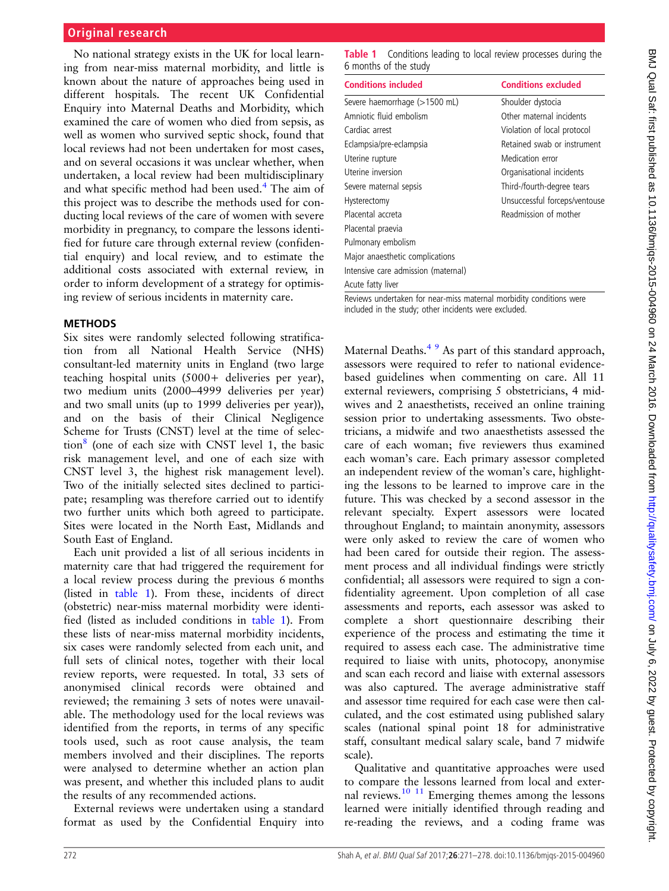## **Original research**

No national strategy exists in the UK for local learning from near-miss maternal morbidity, and little is known about the nature of approaches being used in different hospitals. The recent UK Confidential Enquiry into Maternal Deaths and Morbidity, which examined the care of women who died from sepsis, as well as women who survived septic shock, found that local reviews had not been undertaken for most cases, and on several occasions it was unclear whether, when undertaken, a local review had been multidisciplinary and what specific method had been used.<sup>[4](#page-6-0)</sup> The aim of this project was to describe the methods used for conducting local reviews of the care of women with severe morbidity in pregnancy, to compare the lessons identified for future care through external review (confidential enquiry) and local review, and to estimate the additional costs associated with external review, in order to inform development of a strategy for optimising review of serious incidents in maternity care.

#### **METHODS**

Six sites were randomly selected following stratification from all National Health Service (NHS) consultant-led maternity units in England (two large teaching hospital units (5000+ deliveries per year), two medium units (2000–4999 deliveries per year) and two small units (up to 1999 deliveries per year)), and on the basis of their Clinical Negligence Scheme for Trusts (CNST) level at the time of selec-tion<sup>[8](#page-6-0)</sup> (one of each size with CNST level 1, the basic risk management level, and one of each size with CNST level 3, the highest risk management level). Two of the initially selected sites declined to participate; resampling was therefore carried out to identify two further units which both agreed to participate. Sites were located in the North East, Midlands and South East of England.

Each unit provided a list of all serious incidents in maternity care that had triggered the requirement for a local review process during the previous 6 months (listed in table 1). From these, incidents of direct (obstetric) near-miss maternal morbidity were identified (listed as included conditions in table 1). From these lists of near-miss maternal morbidity incidents, six cases were randomly selected from each unit, and full sets of clinical notes, together with their local review reports, were requested. In total, 33 sets of anonymised clinical records were obtained and reviewed; the remaining 3 sets of notes were unavailable. The methodology used for the local reviews was identified from the reports, in terms of any specific tools used, such as root cause analysis, the team members involved and their disciplines. The reports were analysed to determine whether an action plan was present, and whether this included plans to audit the results of any recommended actions.

External reviews were undertaken using a standard format as used by the Confidential Enquiry into

**Table 1** Conditions leading to local review processes during the 6 months of the study

| <b>Conditions included</b>          | <b>Conditions excluded</b>    |
|-------------------------------------|-------------------------------|
| Severe haemorrhage (>1500 mL)       | Shoulder dystocia             |
| Amniotic fluid embolism             | Other maternal incidents      |
| Cardiac arrest                      | Violation of local protocol   |
| Eclampsia/pre-eclampsia             | Retained swab or instrument   |
| Uterine rupture                     | Medication error              |
| Uterine inversion                   | Organisational incidents      |
| Severe maternal sepsis              | Third-/fourth-degree tears    |
| Hysterectomy                        | Unsuccessful forceps/ventouse |
| Placental accreta                   | Readmission of mother         |
| Placental praevia                   |                               |
| Pulmonary embolism                  |                               |
| Major anaesthetic complications     |                               |
| Intensive care admission (maternal) |                               |
| Acute fatty liver                   |                               |

Reviews undertaken for near-miss maternal morbidity conditions were included in the study; other incidents were excluded.

Maternal Deaths.<sup>[4 9](#page-6-0)</sup> As part of this standard approach, assessors were required to refer to national evidencebased guidelines when commenting on care. All 11 external reviewers, comprising 5 obstetricians, 4 midwives and 2 anaesthetists, received an online training session prior to undertaking assessments. Two obstetricians, a midwife and two anaesthetists assessed the care of each woman; five reviewers thus examined each woman's care. Each primary assessor completed an independent review of the woman's care, highlighting the lessons to be learned to improve care in the future. This was checked by a second assessor in the relevant specialty. Expert assessors were located throughout England; to maintain anonymity, assessors were only asked to review the care of women who had been cared for outside their region. The assessment process and all individual findings were strictly confidential; all assessors were required to sign a confidentiality agreement. Upon completion of all case assessments and reports, each assessor was asked to complete a short questionnaire describing their experience of the process and estimating the time it required to assess each case. The administrative time required to liaise with units, photocopy, anonymise and scan each record and liaise with external assessors was also captured. The average administrative staff and assessor time required for each case were then calculated, and the cost estimated using published salary scales (national spinal point 18 for administrative staff, consultant medical salary scale, band 7 midwife scale).

Qualitative and quantitative approaches were used to compare the lessons learned from local and external reviews. $10^{-11}$  Emerging themes among the lessons learned were initially identified through reading and re-reading the reviews, and a coding frame was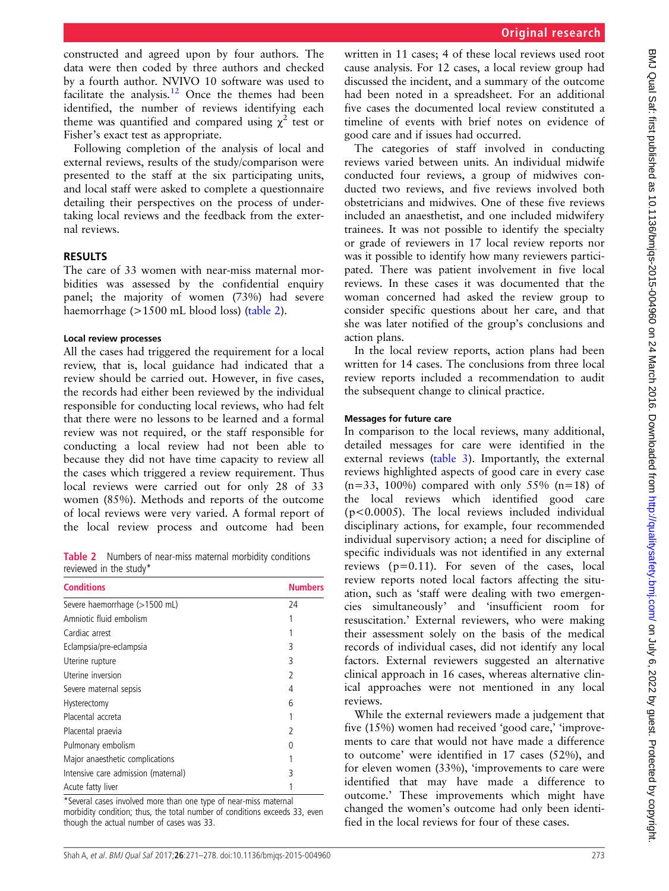constructed and agreed upon by four authors. The data were then coded by three authors and checked by a fourth author. NVIVO 10 software was used to facilitate the analysis.[12](#page-7-0) Once the themes had been identified, the number of reviews identifying each theme was quantified and compared using  $\chi^2$  test or Fisher's exact test as appropriate.

Following completion of the analysis of local and external reviews, results of the study/comparison were presented to the staff at the six participating units, and local staff were asked to complete a questionnaire detailing their perspectives on the process of undertaking local reviews and the feedback from the external reviews.

## RESULTS

The care of 33 women with near-miss maternal morbidities was assessed by the confidential enquiry panel; the majority of women (73%) had severe haemorrhage (>1500 mL blood loss) (table 2).

#### Local review processes

All the cases had triggered the requirement for a local review, that is, local guidance had indicated that a review should be carried out. However, in five cases, the records had either been reviewed by the individual responsible for conducting local reviews, who had felt that there were no lessons to be learned and a formal review was not required, or the staff responsible for conducting a local review had not been able to because they did not have time capacity to review all the cases which triggered a review requirement. Thus local reviews were carried out for only 28 of 33 women (85%). Methods and reports of the outcome of local reviews were very varied. A formal report of the local review process and outcome had been

Table 2 Numbers of near-miss maternal morbidity conditions reviewed in the study\*

| <b>Conditions</b>                   | <b>Numbers</b> |
|-------------------------------------|----------------|
| Severe haemorrhage (>1500 mL)       | 24             |
| Amniotic fluid embolism             |                |
| Cardiac arrest                      |                |
| Eclampsia/pre-eclampsia             | 3              |
| Uterine rupture                     | 3              |
| Uterine inversion                   | 2              |
| Severe maternal sepsis              | 4              |
| Hysterectomy                        | 6              |
| Placental accreta                   |                |
| Placental praevia                   | 2              |
| Pulmonary embolism                  | O              |
| Major anaesthetic complications     |                |
| Intensive care admission (maternal) | 3              |
| Acute fatty liver                   |                |

\*Several cases involved more than one type of near-miss maternal morbidity condition; thus, the total number of conditions exceeds 33, even though the actual number of cases was 33.

written in 11 cases; 4 of these local reviews used root cause analysis. For 12 cases, a local review group had discussed the incident, and a summary of the outcome had been noted in a spreadsheet. For an additional five cases the documented local review constituted a timeline of events with brief notes on evidence of good care and if issues had occurred.

The categories of staff involved in conducting reviews varied between units. An individual midwife conducted four reviews, a group of midwives conducted two reviews, and five reviews involved both obstetricians and midwives. One of these five reviews included an anaesthetist, and one included midwifery trainees. It was not possible to identify the specialty or grade of reviewers in 17 local review reports nor was it possible to identify how many reviewers participated. There was patient involvement in five local reviews. In these cases it was documented that the woman concerned had asked the review group to consider specific questions about her care, and that she was later notified of the group's conclusions and action plans.

In the local review reports, action plans had been written for 14 cases. The conclusions from three local review reports included a recommendation to audit the subsequent change to clinical practice.

#### Messages for future care

In comparison to the local reviews, many additional, detailed messages for care were identified in the external reviews [\(table 3](#page-3-0)). Importantly, the external reviews highlighted aspects of good care in every case  $(n=33, 100\%)$  compared with only 55%  $(n=18)$  of the local reviews which identified good care (p<0.0005). The local reviews included individual disciplinary actions, for example, four recommended individual supervisory action; a need for discipline of specific individuals was not identified in any external reviews (p=0.11). For seven of the cases, local review reports noted local factors affecting the situation, such as 'staff were dealing with two emergencies simultaneously' and 'insufficient room for resuscitation.' External reviewers, who were making their assessment solely on the basis of the medical records of individual cases, did not identify any local factors. External reviewers suggested an alternative clinical approach in 16 cases, whereas alternative clinical approaches were not mentioned in any local reviews.

While the external reviewers made a judgement that five (15%) women had received 'good care,' 'improvements to care that would not have made a difference to outcome' were identified in 17 cases (52%), and for eleven women (33%), 'improvements to care were identified that may have made a difference to outcome.' These improvements which might have changed the women's outcome had only been identified in the local reviews for four of these cases.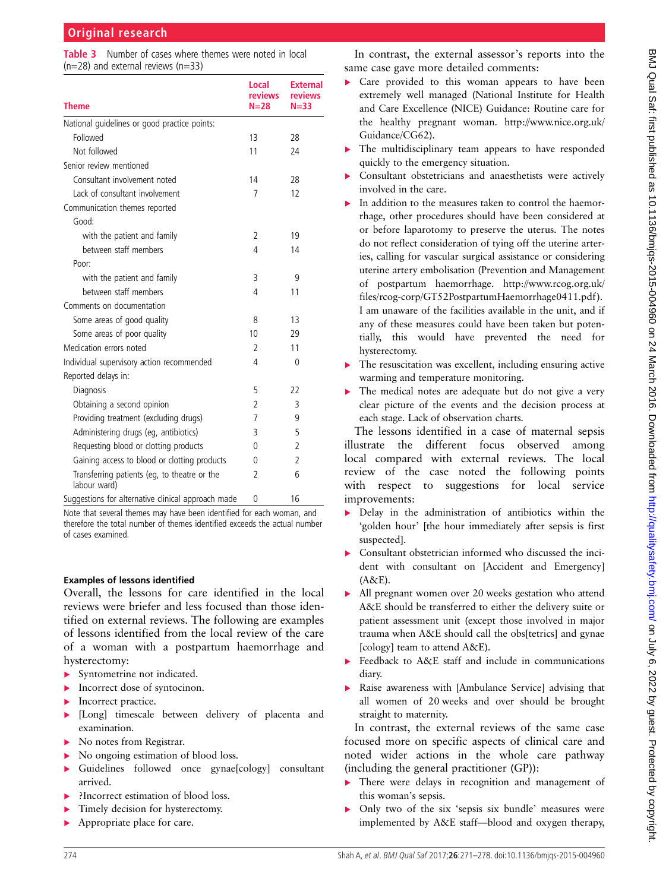<span id="page-3-0"></span>Table 3 Number of cases where themes were noted in local  $(n=28)$  and external reviews  $(n=33)$ 

| <b>Theme</b>                                                 | Local<br>reviews<br>$N=28$ | <b>External</b><br>reviews<br>$N = 33$ |
|--------------------------------------------------------------|----------------------------|----------------------------------------|
| National quidelines or good practice points:                 |                            |                                        |
| Followed                                                     | 13                         | 28                                     |
| Not followed                                                 | 11                         | 24                                     |
| Senior review mentioned                                      |                            |                                        |
| Consultant involvement noted                                 | 14                         | 28                                     |
| Lack of consultant involvement                               | $\overline{7}$             | 12                                     |
| Communication themes reported                                |                            |                                        |
| Good:                                                        |                            |                                        |
| with the patient and family                                  | $\overline{2}$             | 19                                     |
| between staff members                                        | 4                          | 14                                     |
| Poor:                                                        |                            |                                        |
| with the patient and family                                  | 3                          | 9                                      |
| between staff members                                        | 4                          | 11                                     |
| Comments on documentation                                    |                            |                                        |
| Some areas of good quality                                   | 8                          | 13                                     |
| Some areas of poor quality                                   | 10                         | 29                                     |
| Medication errors noted                                      | 2                          | 11                                     |
| Individual supervisory action recommended                    | 4                          | 0                                      |
| Reported delays in:                                          |                            |                                        |
| Diagnosis                                                    | 5                          | 22                                     |
| Obtaining a second opinion                                   | $\overline{2}$             | 3                                      |
| Providing treatment (excluding drugs)                        | 7                          | 9                                      |
| Administering drugs (eg, antibiotics)                        | 3                          | 5                                      |
| Requesting blood or clotting products                        | 0                          | $\overline{2}$                         |
| Gaining access to blood or clotting products                 | 0                          | $\overline{2}$                         |
| Transferring patients (eg, to theatre or the<br>labour ward) | 2                          | 6                                      |
| Suggestions for alternative clinical approach made           | 0                          | 16                                     |

Note that several themes may have been identified for each woman, and therefore the total number of themes identified exceeds the actual number of cases examined.

#### Examples of lessons identified

Overall, the lessons for care identified in the local reviews were briefer and less focused than those identified on external reviews. The following are examples of lessons identified from the local review of the care of a woman with a postpartum haemorrhage and hysterectomy:

- ▶ Syntometrine not indicated.
- Incorrect dose of syntocinon.
- **Incorrect practice.**
- ▸ [Long] timescale between delivery of placenta and examination.
- ▸ No notes from Registrar.
- ▸ No ongoing estimation of blood loss.
- ▸ Guidelines followed once gynae[cology] consultant arrived.
- ▸ ?Incorrect estimation of blood loss.
- Timely decision for hysterectomy.
- ▶ Appropriate place for care.

In contrast, the external assessor's reports into the same case gave more detailed comments:

- ▶ Care provided to this woman appears to have been extremely well managed (National Institute for Health and Care Excellence (NICE) Guidance: Routine care for the healthy pregnant woman. [http://www.nice.org.uk/](http://twitter.com/Marianfknight) [Guidance/CG62](http://twitter.com/Marianfknight)).
- ▸ The multidisciplinary team appears to have responded quickly to the emergency situation.
- Consultant obstetricians and anaesthetists were actively involved in the care.
- In addition to the measures taken to control the haemorrhage, other procedures should have been considered at or before laparotomy to preserve the uterus. The notes do not reflect consideration of tying off the uterine arteries, calling for vascular surgical assistance or considering uterine artery embolisation (Prevention and Management of postpartum haemorrhage. [http://www.rcog.org.uk/](http://creativecommons.org/licenses/by/4.0/) [files/rcog-corp/GT52PostpartumHaemorrhage0411.pdf](http://creativecommons.org/licenses/by/4.0/) ). I am unaware of the facilities available in the unit, and if any of these measures could have been taken but potentially, this would have prevented the need for hysterectomy.
- The resuscitation was excellent, including ensuring active warming and temperature monitoring.
- ▸ The medical notes are adequate but do not give a very clear picture of the events and the decision process at each stage. Lack of observation charts.

The lessons identified in a case of maternal sepsis illustrate the different focus observed among local compared with external reviews. The local review of the case noted the following points with respect to suggestions for local service improvements:

- ▸ Delay in the administration of antibiotics within the 'golden hour' [the hour immediately after sepsis is first suspected].
- ▸ Consultant obstetrician informed who discussed the incident with consultant on [Accident and Emergency] (A&E).
- ▸ All pregnant women over 20 weeks gestation who attend A&E should be transferred to either the delivery suite or patient assessment unit (except those involved in major trauma when A&E should call the obs[tetrics] and gynae [cology] team to attend A&E).
- Feedback to A&E staff and include in communications diary.
- ▸ Raise awareness with [Ambulance Service] advising that all women of 20 weeks and over should be brought straight to maternity.

In contrast, the external reviews of the same case focused more on specific aspects of clinical care and noted wider actions in the whole care pathway (including the general practitioner (GP)):

- There were delays in recognition and management of this woman's sepsis.
- Only two of the six 'sepsis six bundle' measures were implemented by A&E staff—blood and oxygen therapy,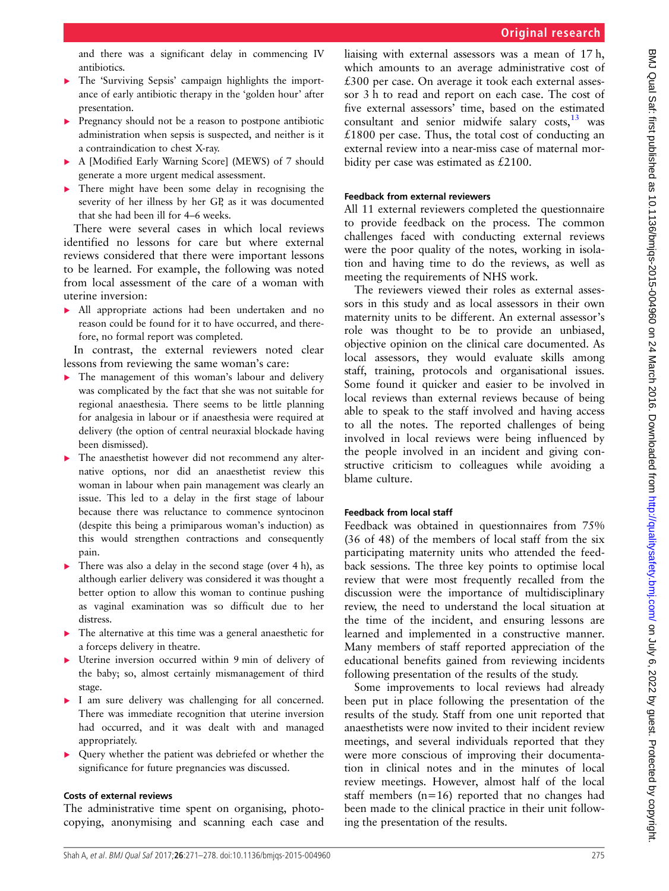and there was a significant delay in commencing IV antibiotics.

- The 'Surviving Sepsis' campaign highlights the importance of early antibiotic therapy in the 'golden hour' after presentation.
- ▸ Pregnancy should not be a reason to postpone antibiotic administration when sepsis is suspected, and neither is it a contraindication to chest X-ray.
- ▸ A [Modified Early Warning Score] (MEWS) of 7 should generate a more urgent medical assessment.
- ▸ There might have been some delay in recognising the severity of her illness by her GP, as it was documented that she had been ill for 4–6 weeks.

There were several cases in which local reviews identified no lessons for care but where external reviews considered that there were important lessons to be learned. For example, the following was noted from local assessment of the care of a woman with uterine inversion:

▸ All appropriate actions had been undertaken and no reason could be found for it to have occurred, and therefore, no formal report was completed.

In contrast, the external reviewers noted clear lessons from reviewing the same woman's care:

- The management of this woman's labour and delivery was complicated by the fact that she was not suitable for regional anaesthesia. There seems to be little planning for analgesia in labour or if anaesthesia were required at delivery (the option of central neuraxial blockade having been dismissed).
- ▶ The anaesthetist however did not recommend any alternative options, nor did an anaesthetist review this woman in labour when pain management was clearly an issue. This led to a delay in the first stage of labour because there was reluctance to commence syntocinon (despite this being a primiparous woman's induction) as this would strengthen contractions and consequently pain.
- ▶ There was also a delay in the second stage (over 4 h), as although earlier delivery was considered it was thought a better option to allow this woman to continue pushing as vaginal examination was so difficult due to her distress.
- ▸ The alternative at this time was a general anaesthetic for a forceps delivery in theatre.
- ▸ Uterine inversion occurred within 9 min of delivery of the baby; so, almost certainly mismanagement of third stage.
- ▸ I am sure delivery was challenging for all concerned. There was immediate recognition that uterine inversion had occurred, and it was dealt with and managed appropriately.
- ▸ Query whether the patient was debriefed or whether the significance for future pregnancies was discussed.

# Costs of external reviews

The administrative time spent on organising, photocopying, anonymising and scanning each case and liaising with external assessors was a mean of 17 h, which amounts to an average administrative cost of £300 per case. On average it took each external assessor 3 h to read and report on each case. The cost of five external assessors' time, based on the estimated consultant and senior midwife salary costs, $13$  was  $£1800$  per case. Thus, the total cost of conducting an external review into a near-miss case of maternal morbidity per case was estimated as £2100.

# Feedback from external reviewers

All 11 external reviewers completed the questionnaire to provide feedback on the process. The common challenges faced with conducting external reviews were the poor quality of the notes, working in isolation and having time to do the reviews, as well as meeting the requirements of NHS work.

The reviewers viewed their roles as external assessors in this study and as local assessors in their own maternity units to be different. An external assessor's role was thought to be to provide an unbiased, objective opinion on the clinical care documented. As local assessors, they would evaluate skills among staff, training, protocols and organisational issues. Some found it quicker and easier to be involved in local reviews than external reviews because of being able to speak to the staff involved and having access to all the notes. The reported challenges of being involved in local reviews were being influenced by the people involved in an incident and giving constructive criticism to colleagues while avoiding a blame culture.

# Feedback from local staff

Feedback was obtained in questionnaires from 75% (36 of 48) of the members of local staff from the six participating maternity units who attended the feedback sessions. The three key points to optimise local review that were most frequently recalled from the discussion were the importance of multidisciplinary review, the need to understand the local situation at the time of the incident, and ensuring lessons are learned and implemented in a constructive manner. Many members of staff reported appreciation of the educational benefits gained from reviewing incidents following presentation of the results of the study.

Some improvements to local reviews had already been put in place following the presentation of the results of the study. Staff from one unit reported that anaesthetists were now invited to their incident review meetings, and several individuals reported that they were more conscious of improving their documentation in clinical notes and in the minutes of local review meetings. However, almost half of the local staff members  $(n=16)$  reported that no changes had been made to the clinical practice in their unit following the presentation of the results.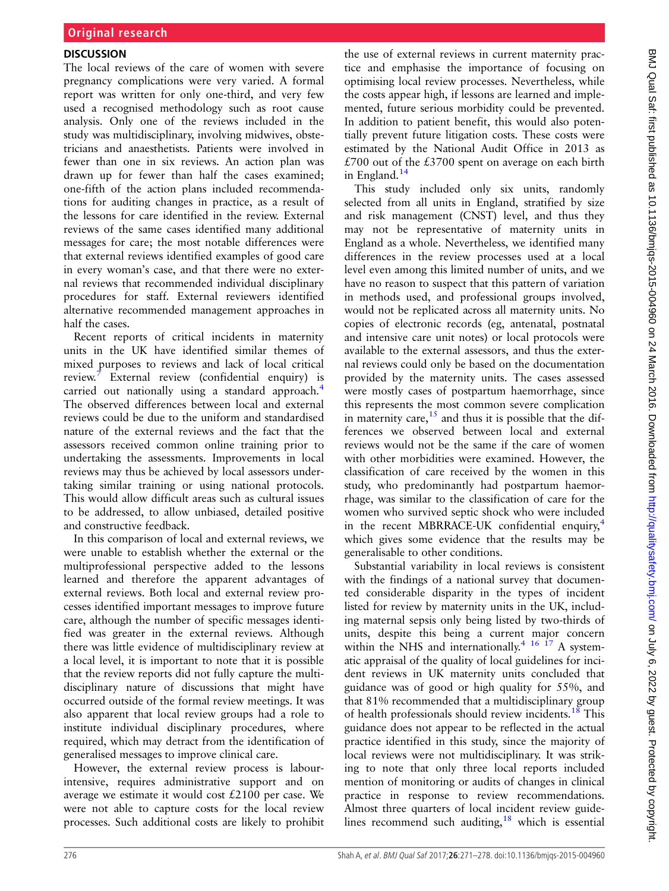## **DISCUSSION**

The local reviews of the care of women with severe pregnancy complications were very varied. A formal report was written for only one-third, and very few used a recognised methodology such as root cause analysis. Only one of the reviews included in the study was multidisciplinary, involving midwives, obstetricians and anaesthetists. Patients were involved in fewer than one in six reviews. An action plan was drawn up for fewer than half the cases examined; one-fifth of the action plans included recommendations for auditing changes in practice, as a result of the lessons for care identified in the review. External reviews of the same cases identified many additional messages for care; the most notable differences were that external reviews identified examples of good care in every woman's case, and that there were no external reviews that recommended individual disciplinary procedures for staff. External reviewers identified alternative recommended management approaches in half the cases.

Recent reports of critical incidents in maternity units in the UK have identified similar themes of mixed purposes to reviews and lack of local critical review.<sup>[7](#page-6-0)</sup> External review (confidential enquiry) is carried out nationally using a standard approach.<sup>[4](#page-6-0)</sup> The observed differences between local and external reviews could be due to the uniform and standardised nature of the external reviews and the fact that the assessors received common online training prior to undertaking the assessments. Improvements in local reviews may thus be achieved by local assessors undertaking similar training or using national protocols. This would allow difficult areas such as cultural issues to be addressed, to allow unbiased, detailed positive and constructive feedback.

In this comparison of local and external reviews, we were unable to establish whether the external or the multiprofessional perspective added to the lessons learned and therefore the apparent advantages of external reviews. Both local and external review processes identified important messages to improve future care, although the number of specific messages identified was greater in the external reviews. Although there was little evidence of multidisciplinary review at a local level, it is important to note that it is possible that the review reports did not fully capture the multidisciplinary nature of discussions that might have occurred outside of the formal review meetings. It was also apparent that local review groups had a role to institute individual disciplinary procedures, where required, which may detract from the identification of generalised messages to improve clinical care.

However, the external review process is labourintensive, requires administrative support and on average we estimate it would cost £2100 per case. We were not able to capture costs for the local review processes. Such additional costs are likely to prohibit the use of external reviews in current maternity practice and emphasise the importance of focusing on optimising local review processes. Nevertheless, while the costs appear high, if lessons are learned and implemented, future serious morbidity could be prevented. In addition to patient benefit, this would also potentially prevent future litigation costs. These costs were estimated by the National Audit Office in 2013 as £700 out of the £3700 spent on average on each birth in England. $14$ 

This study included only six units, randomly selected from all units in England, stratified by size and risk management (CNST) level, and thus they may not be representative of maternity units in England as a whole. Nevertheless, we identified many differences in the review processes used at a local level even among this limited number of units, and we have no reason to suspect that this pattern of variation in methods used, and professional groups involved, would not be replicated across all maternity units. No copies of electronic records (eg, antenatal, postnatal and intensive care unit notes) or local protocols were available to the external assessors, and thus the external reviews could only be based on the documentation provided by the maternity units. The cases assessed were mostly cases of postpartum haemorrhage, since this represents the most common severe complication in maternity care,  $15$  and thus it is possible that the differences we observed between local and external reviews would not be the same if the care of women with other morbidities were examined. However, the classification of care received by the women in this study, who predominantly had postpartum haemorrhage, was similar to the classification of care for the women who survived septic shock who were included in the recent MBRRACE-UK confidential enquiry, $4$ which gives some evidence that the results may be generalisable to other conditions.

Substantial variability in local reviews is consistent with the findings of a national survey that documented considerable disparity in the types of incident listed for review by maternity units in the UK, including maternal sepsis only being listed by two-thirds of units, despite this being a current major concern within the NHS and internationally.<sup>[4](#page-6-0) [16 17](#page-7-0)</sup> A systematic appraisal of the quality of local guidelines for incident reviews in UK maternity units concluded that guidance was of good or high quality for 55%, and that 81% recommended that a multidisciplinary group of health professionals should review incidents.<sup>[18](#page-7-0)</sup> This guidance does not appear to be reflected in the actual practice identified in this study, since the majority of local reviews were not multidisciplinary. It was striking to note that only three local reports included mention of monitoring or audits of changes in clinical practice in response to review recommendations. Almost three quarters of local incident review guidelines recommend such auditing, $18$  which is essential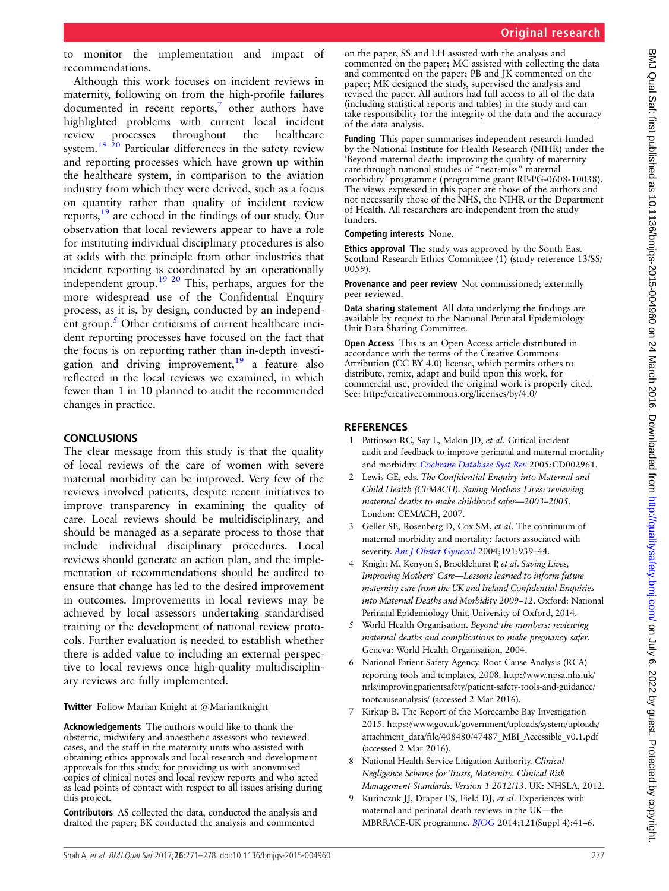<span id="page-6-0"></span>to monitor the implementation and impact of recommendations.

Although this work focuses on incident reviews in maternity, following on from the high-profile failures documented in recent reports,<sup>7</sup> other authors have highlighted problems with current local incident review processes throughout the healthcare system.<sup>[19 20](#page-7-0)</sup> Particular differences in the safety review and reporting processes which have grown up within the healthcare system, in comparison to the aviation industry from which they were derived, such as a focus on quantity rather than quality of incident review reports[,19](#page-7-0) are echoed in the findings of our study. Our observation that local reviewers appear to have a role for instituting individual disciplinary procedures is also at odds with the principle from other industries that incident reporting is coordinated by an operationally independent group.[19 20](#page-7-0) This, perhaps, argues for the more widespread use of the Confidential Enquiry process, as it is, by design, conducted by an independent group. $\frac{5}{5}$  Other criticisms of current healthcare incident reporting processes have focused on the fact that the focus is on reporting rather than in-depth investigation and driving improvement,  $19$  a feature also reflected in the local reviews we examined, in which fewer than 1 in 10 planned to audit the recommended changes in practice.

## **CONCLUSIONS**

The clear message from this study is that the quality of local reviews of the care of women with severe maternal morbidity can be improved. Very few of the reviews involved patients, despite recent initiatives to improve transparency in examining the quality of care. Local reviews should be multidisciplinary, and should be managed as a separate process to those that include individual disciplinary procedures. Local reviews should generate an action plan, and the implementation of recommendations should be audited to ensure that change has led to the desired improvement in outcomes. Improvements in local reviews may be achieved by local assessors undertaking standardised training or the development of national review protocols. Further evaluation is needed to establish whether there is added value to including an external perspective to local reviews once high-quality multidisciplinary reviews are fully implemented.

Twitter Follow Marian Knight at [@Marianfknight](http://twitter.com/Marianfknight)

Acknowledgements The authors would like to thank the obstetric, midwifery and anaesthetic assessors who reviewed cases, and the staff in the maternity units who assisted with obtaining ethics approvals and local research and development approvals for this study, for providing us with anonymised copies of clinical notes and local review reports and who acted as lead points of contact with respect to all issues arising during this project.

Contributors AS collected the data, conducted the analysis and drafted the paper; BK conducted the analysis and commented

on the paper, SS and LH assisted with the analysis and commented on the paper; MC assisted with collecting the data and commented on the paper; PB and JK commented on the paper; MK designed the study, supervised the analysis and revised the paper. All authors had full access to all of the data (including statistical reports and tables) in the study and can take responsibility for the integrity of the data and the accuracy of the data analysis.

Funding This paper summarises independent research funded by the National Institute for Health Research (NIHR) under the 'Beyond maternal death: improving the quality of maternity care through national studies of "near-miss" maternal morbidity' programme (programme grant RP-PG-0608-10038). The views expressed in this paper are those of the authors and not necessarily those of the NHS, the NIHR or the Department of Health. All researchers are independent from the study funders.

Competing interests None.

Ethics approval The study was approved by the South East Scotland Research Ethics Committee (1) (study reference 13/SS/ 0059).

Provenance and peer review Not commissioned; externally peer reviewed.

Data sharing statement All data underlying the findings are available by request to the National Perinatal Epidemiology Unit Data Sharing Committee.

Open Access This is an Open Access article distributed in accordance with the terms of the Creative Commons Attribution (CC BY 4.0) license, which permits others to distribute, remix, adapt and build upon this work, for commercial use, provided the original work is properly cited. See:<http://creativecommons.org/licenses/by/4.0/>

## **REFERENCES**

- 1 Pattinson RC, Say L, Makin JD, et al. Critical incident audit and feedback to improve perinatal and maternal mortality and morbidity. [Cochrane Database Syst Rev](http://dx.doi.org/10.1002/14651858.CD002961.pub2) 2005:CD002961.
- 2 Lewis GE, eds. The Confidential Enquiry into Maternal and Child Health (CEMACH). Saving Mothers Lives: reviewing maternal deaths to make childhood safer—2003–2005. London: CEMACH, 2007.
- 3 Geller SE, Rosenberg D, Cox SM, et al. The continuum of maternal morbidity and mortality: factors associated with severity. [Am J Obstet Gynecol](http://dx.doi.org/10.1016/j.ajog.2004.05.099) 2004;191:939-44.
- Knight M, Kenyon S, Brocklehurst P, et al. Saving Lives, Improving Mothers' Care—Lessons learned to inform future maternity care from the UK and Ireland Confidential Enquiries into Maternal Deaths and Morbidity 2009–12. Oxford: National Perinatal Epidemiology Unit, University of Oxford, 2014.
- 5 World Health Organisation. Beyond the numbers: reviewing maternal deaths and complications to make pregnancy safer. Geneva: World Health Organisation, 2004.
- 6 National Patient Safety Agency. Root Cause Analysis (RCA) reporting tools and templates, 2008. [http://www.npsa.nhs.uk/](http://www.npsa.nhs.uk/nrls/improvingpatientsafety/patient-safety-tools-and-guidance/rootcauseanalysis/) [nrls/improvingpatientsafety/patient-safety-tools-and-guidance/](http://www.npsa.nhs.uk/nrls/improvingpatientsafety/patient-safety-tools-and-guidance/rootcauseanalysis/) [rootcauseanalysis/](http://www.npsa.nhs.uk/nrls/improvingpatientsafety/patient-safety-tools-and-guidance/rootcauseanalysis/) (accessed 2 Mar 2016).
- 7 Kirkup B. The Report of the Morecambe Bay Investigation 2015. [https://www.gov.uk/government/uploads/system/uploads/](https://www.gov.uk/government/uploads/system/uploads/attachment_data/file/408480/47487_MBI_Accessible_v0.1.pdf) [attachment\\_data/file/408480/47487\\_MBI\\_Accessible\\_v0.1.pdf](https://www.gov.uk/government/uploads/system/uploads/attachment_data/file/408480/47487_MBI_Accessible_v0.1.pdf) (accessed 2 Mar 2016).
- 8 National Health Service Litigation Authority. Clinical Negligence Scheme for Trusts, Maternity. Clinical Risk Management Standards. Version 1 2012/13. UK: NHSLA, 2012.
- 9 Kurinczuk JJ, Draper ES, Field DJ, et al. Experiences with maternal and perinatal death reviews in the UK—the MBRRACE-UK programme. [BJOG](http://dx.doi.org/10.1111/1471-0528.12820) 2014;121(Suppl 4):41–6.